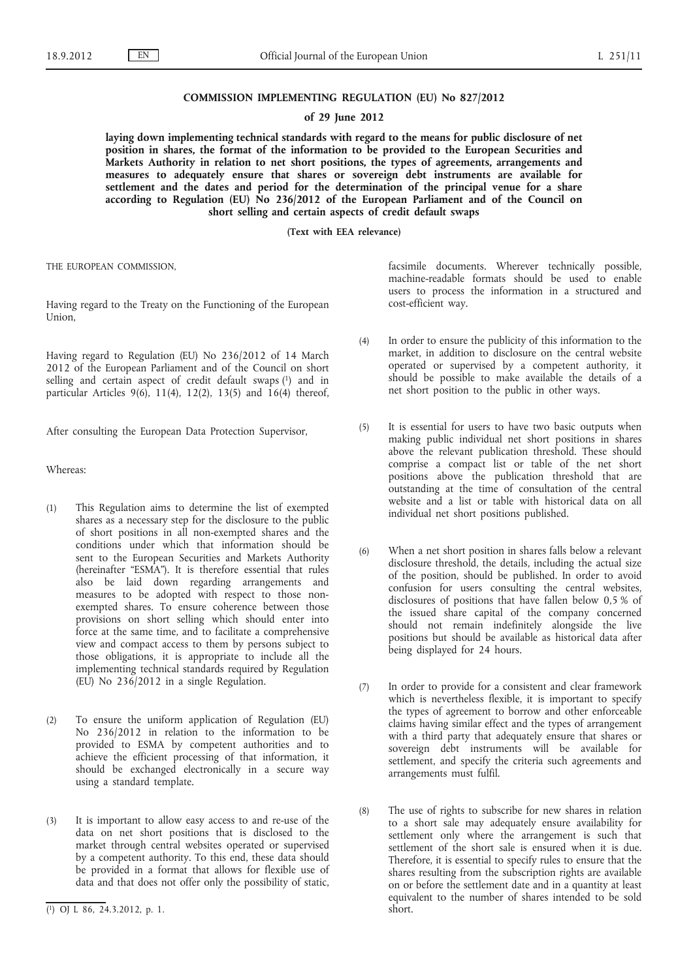#### **COMMISSION IMPLEMENTING REGULATION (EU) No 827/2012**

### **of 29 June 2012**

**laying down implementing technical standards with regard to the means for public disclosure of net position in shares, the format of the information to be provided to the European Securities and Markets Authority in relation to net short positions, the types of agreements, arrangements and measures to adequately ensure that shares or sovereign debt instruments are available for settlement and the dates and period for the determination of the principal venue for a share according to Regulation (EU) No 236/2012 of the European Parliament and of the Council on short selling and certain aspects of credit default swaps**

**(Text with EEA relevance)**

THE EUROPEAN COMMISSION,

Having regard to the Treaty on the Functioning of the European Union,

Having regard to Regulation (EU) No 236/2012 of 14 March 2012 of the European Parliament and of the Council on short selling and certain aspect of credit default swaps (1) and in particular Articles 9(6), 11(4), 12(2), 13(5) and  $16(4)$  thereof,

After consulting the European Data Protection Supervisor,

Whereas:

- (1) This Regulation aims to determine the list of exempted shares as a necessary step for the disclosure to the public of short positions in all non-exempted shares and the conditions under which that information should be sent to the European Securities and Markets Authority (hereinafter "ESMA"). It is therefore essential that rules also be laid down regarding arrangements and measures to be adopted with respect to those nonexempted shares. To ensure coherence between those provisions on short selling which should enter into force at the same time, and to facilitate a comprehensive view and compact access to them by persons subject to those obligations, it is appropriate to include all the implementing technical standards required by Regulation (EU) No  $236/2012$  in a single Regulation.
- (2) To ensure the uniform application of Regulation (EU) No 236/2012 in relation to the information to be provided to ESMA by competent authorities and to achieve the efficient processing of that information, it should be exchanged electronically in a secure way using a standard template.
- (3) It is important to allow easy access to and re-use of the data on net short positions that is disclosed to the market through central websites operated or supervised by a competent authority. To this end, these data should be provided in a format that allows for flexible use of data and that does not offer only the possibility of static,

facsimile documents. Wherever technically possible, machine-readable formats should be used to enable users to process the information in a structured and cost-efficient way.

- (4) In order to ensure the publicity of this information to the market, in addition to disclosure on the central website operated or supervised by a competent authority, it should be possible to make available the details of a net short position to the public in other ways.
- (5) It is essential for users to have two basic outputs when making public individual net short positions in shares above the relevant publication threshold. These should comprise a compact list or table of the net short positions above the publication threshold that are outstanding at the time of consultation of the central website and a list or table with historical data on all individual net short positions published.
- (6) When a net short position in shares falls below a relevant disclosure threshold, the details, including the actual size of the position, should be published. In order to avoid confusion for users consulting the central websites, disclosures of positions that have fallen below 0,5 % of the issued share capital of the company concerned should not remain indefinitely alongside the live positions but should be available as historical data after being displayed for 24 hours.
- (7) In order to provide for a consistent and clear framework which is nevertheless flexible, it is important to specify the types of agreement to borrow and other enforceable claims having similar effect and the types of arrangement with a third party that adequately ensure that shares or sovereign debt instruments will be available for settlement, and specify the criteria such agreements and arrangements must fulfil.
- (8) The use of rights to subscribe for new shares in relation to a short sale may adequately ensure availability for settlement only where the arrangement is such that settlement of the short sale is ensured when it is due. Therefore, it is essential to specify rules to ensure that the shares resulting from the subscription rights are available on or before the settlement date and in a quantity at least equivalent to the number of shares intended to be sold short.

<sup>(</sup> 1) OJ L 86, 24.3.2012, p. 1.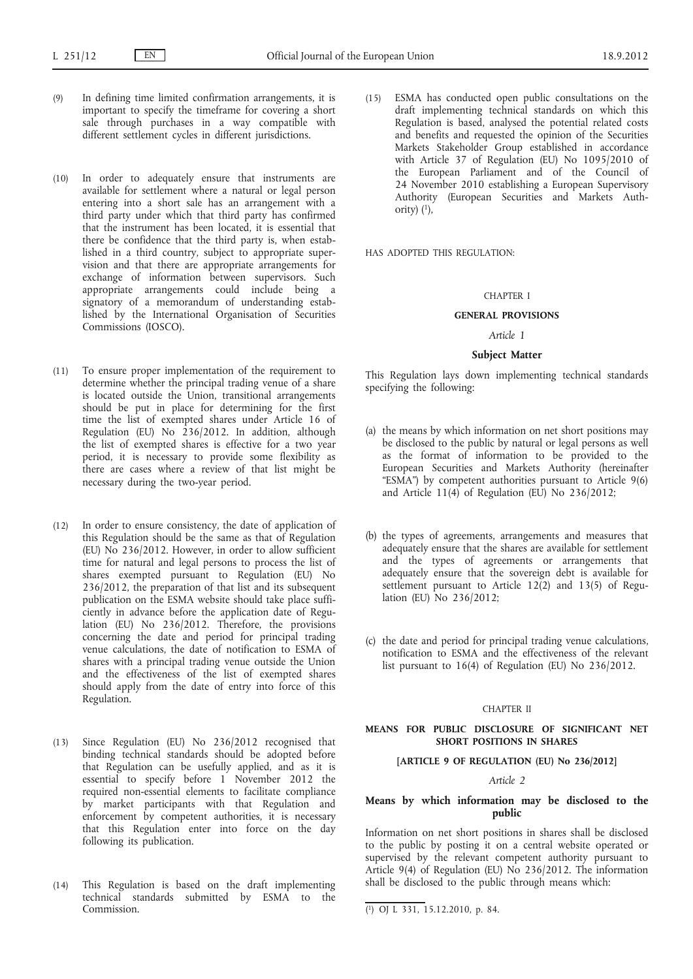- (9) In defining time limited confirmation arrangements, it is important to specify the timeframe for covering a short sale through purchases in a way compatible with different settlement cycles in different jurisdictions.
- (10) In order to adequately ensure that instruments are available for settlement where a natural or legal person entering into a short sale has an arrangement with a third party under which that third party has confirmed that the instrument has been located, it is essential that there be confidence that the third party is, when established in a third country, subject to appropriate supervision and that there are appropriate arrangements for exchange of information between supervisors. Such appropriate arrangements could include being a signatory of a memorandum of understanding established by the International Organisation of Securities Commissions (IOSCO).
- (11) To ensure proper implementation of the requirement to determine whether the principal trading venue of a share is located outside the Union, transitional arrangements should be put in place for determining for the first time the list of exempted shares under Article 16 of Regulation (EU) No  $236/2012$ . In addition, although the list of exempted shares is effective for a two year period, it is necessary to provide some flexibility as there are cases where a review of that list might be necessary during the two-year period.
- (12) In order to ensure consistency, the date of application of this Regulation should be the same as that of Regulation (EU) No 236/2012. However, in order to allow sufficient time for natural and legal persons to process the list of shares exempted pursuant to Regulation (EU) No 236/2012, the preparation of that list and its subsequent publication on the ESMA website should take place sufficiently in advance before the application date of Regulation (EU) No 236/2012. Therefore, the provisions concerning the date and period for principal trading venue calculations, the date of notification to ESMA of shares with a principal trading venue outside the Union and the effectiveness of the list of exempted shares should apply from the date of entry into force of this Regulation.
- (13) Since Regulation (EU) No 236/2012 recognised that binding technical standards should be adopted before that Regulation can be usefully applied, and as it is essential to specify before 1 November 2012 the required non-essential elements to facilitate compliance by market participants with that Regulation and enforcement by competent authorities, it is necessary that this Regulation enter into force on the day following its publication.
- (14) This Regulation is based on the draft implementing technical standards submitted by ESMA to the Commission.

(15) ESMA has conducted open public consultations on the draft implementing technical standards on which this Regulation is based, analysed the potential related costs and benefits and requested the opinion of the Securities Markets Stakeholder Group established in accordance with Article 37 of Regulation (EU) No 1095/2010 of the European Parliament and of the Council of 24 November 2010 establishing a European Supervisory Authority (European Securities and Markets Authority)  $(1)$ ,

HAS ADOPTED THIS REGULATION:

#### CHAPTER I

#### **GENERAL PROVISIONS**

### *Article 1*

#### **Subject Matter**

This Regulation lays down implementing technical standards specifying the following:

- (a) the means by which information on net short positions may be disclosed to the public by natural or legal persons as well as the format of information to be provided to the European Securities and Markets Authority (hereinafter "ESMA") by competent authorities pursuant to Article 9(6) and Article  $11(4)$  of Regulation (EU) No 236/2012;
- (b) the types of agreements, arrangements and measures that adequately ensure that the shares are available for settlement and the types of agreements or arrangements that adequately ensure that the sovereign debt is available for settlement pursuant to Article 12(2) and 13(5) of Regulation (EU) No 236/2012;
- (c) the date and period for principal trading venue calculations, notification to ESMA and the effectiveness of the relevant list pursuant to 16(4) of Regulation (EU) No 236/2012.

### CHAPTER II

#### **MEANS FOR PUBLIC DISCLOSURE OF SIGNIFICANT NET SHORT POSITIONS IN SHARES**

### **[ARTICLE 9 OF REGULATION (EU) No 236/2012]**

### *Article 2*

## **Means by which information may be disclosed to the public**

Information on net short positions in shares shall be disclosed to the public by posting it on a central website operated or supervised by the relevant competent authority pursuant to Article 9(4) of Regulation (EU) No 236/2012. The information shall be disclosed to the public through means which:

<sup>(</sup> 1) OJ L 331, 15.12.2010, p. 84.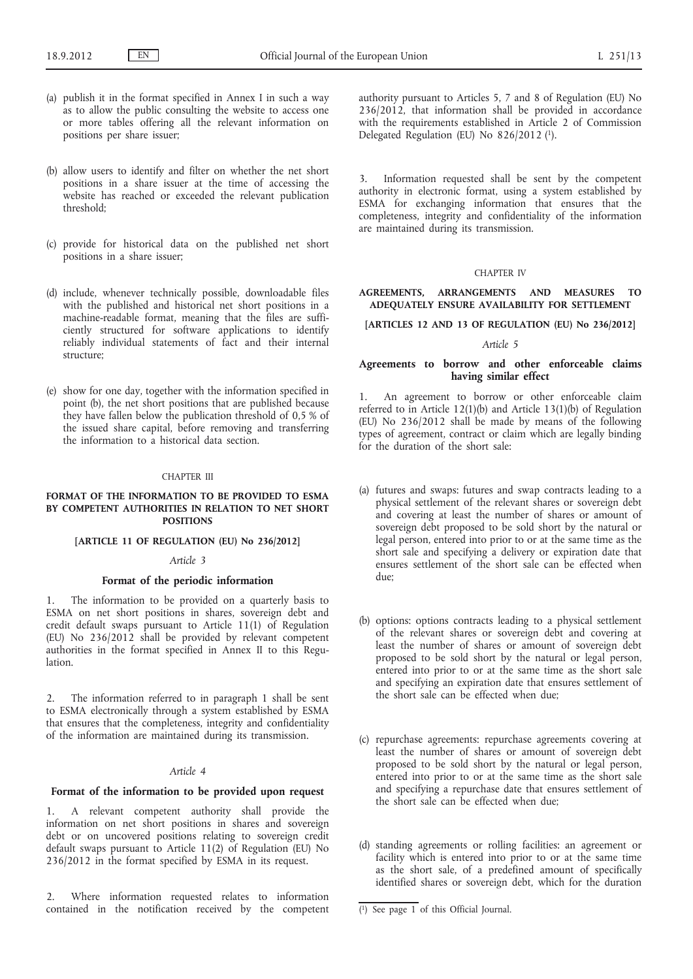- (a) publish it in the format specified in Annex I in such a way as to allow the public consulting the website to access one or more tables offering all the relevant information on positions per share issuer;
- (b) allow users to identify and filter on whether the net short positions in a share issuer at the time of accessing the website has reached or exceeded the relevant publication threshold;
- (c) provide for historical data on the published net short positions in a share issuer;
- (d) include, whenever technically possible, downloadable files with the published and historical net short positions in a machine-readable format, meaning that the files are sufficiently structured for software applications to identify reliably individual statements of fact and their internal structure;
- (e) show for one day, together with the information specified in point (b), the net short positions that are published because they have fallen below the publication threshold of 0,5 % of the issued share capital, before removing and transferring the information to a historical data section.

#### CHAPTER III

### **FORMAT OF THE INFORMATION TO BE PROVIDED TO ESMA BY COMPETENT AUTHORITIES IN RELATION TO NET SHORT POSITIONS**

### **[ARTICLE 11 OF REGULATION (EU) No 236/2012]**

#### *Article 3*

#### **Format of the periodic information**

1. The information to be provided on a quarterly basis to ESMA on net short positions in shares, sovereign debt and credit default swaps pursuant to Article 11(1) of Regulation (EU) No 236/2012 shall be provided by relevant competent authorities in the format specified in Annex II to this Regulation.

2. The information referred to in paragraph 1 shall be sent to ESMA electronically through a system established by ESMA that ensures that the completeness, integrity and confidentiality of the information are maintained during its transmission.

# *Article 4*

### **Format of the information to be provided upon request**

1. A relevant competent authority shall provide the information on net short positions in shares and sovereign debt or on uncovered positions relating to sovereign credit default swaps pursuant to Article 11(2) of Regulation (EU) No 236/2012 in the format specified by ESMA in its request.

2. Where information requested relates to information contained in the notification received by the competent authority pursuant to Articles 5, 7 and 8 of Regulation (EU) No 236/2012, that information shall be provided in accordance with the requirements established in Article 2 of Commission Delegated Regulation (EU) No 826/2012 (1).

3. Information requested shall be sent by the competent authority in electronic format, using a system established by ESMA for exchanging information that ensures that the completeness, integrity and confidentiality of the information are maintained during its transmission.

#### CHAPTER IV

### **AGREEMENTS, ARRANGEMENTS AND MEASURES TO ADEQUATELY ENSURE AVAILABILITY FOR SETTLEMENT**

## **[ARTICLES 12 AND 13 OF REGULATION (EU) No 236/2012]**

#### *Article 5*

### **Agreements to borrow and other enforceable claims having similar effect**

1. An agreement to borrow or other enforceable claim referred to in Article 12(1)(b) and Article 13(1)(b) of Regulation (EU) No 236/2012 shall be made by means of the following types of agreement, contract or claim which are legally binding for the duration of the short sale:

- (a) futures and swaps: futures and swap contracts leading to a physical settlement of the relevant shares or sovereign debt and covering at least the number of shares or amount of sovereign debt proposed to be sold short by the natural or legal person, entered into prior to or at the same time as the short sale and specifying a delivery or expiration date that ensures settlement of the short sale can be effected when due;
- (b) options: options contracts leading to a physical settlement of the relevant shares or sovereign debt and covering at least the number of shares or amount of sovereign debt proposed to be sold short by the natural or legal person, entered into prior to or at the same time as the short sale and specifying an expiration date that ensures settlement of the short sale can be effected when due;
- (c) repurchase agreements: repurchase agreements covering at least the number of shares or amount of sovereign debt proposed to be sold short by the natural or legal person, entered into prior to or at the same time as the short sale and specifying a repurchase date that ensures settlement of the short sale can be effected when due;
- (d) standing agreements or rolling facilities: an agreement or facility which is entered into prior to or at the same time as the short sale, of a predefined amount of specifically identified shares or sovereign debt, which for the duration

<sup>(</sup> 1) See page 1 of this Official Journal.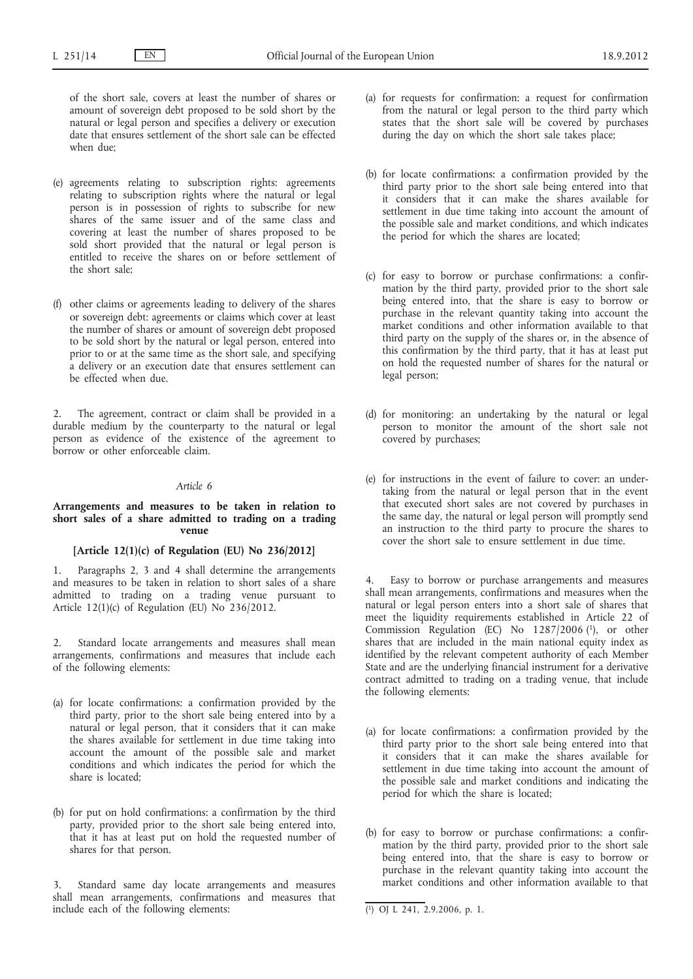of the short sale, covers at least the number of shares or amount of sovereign debt proposed to be sold short by the natural or legal person and specifies a delivery or execution date that ensures settlement of the short sale can be effected when due;

- (e) agreements relating to subscription rights: agreements relating to subscription rights where the natural or legal person is in possession of rights to subscribe for new shares of the same issuer and of the same class and covering at least the number of shares proposed to be sold short provided that the natural or legal person is entitled to receive the shares on or before settlement of the short sale;
- (f) other claims or agreements leading to delivery of the shares or sovereign debt: agreements or claims which cover at least the number of shares or amount of sovereign debt proposed to be sold short by the natural or legal person, entered into prior to or at the same time as the short sale, and specifying a delivery or an execution date that ensures settlement can be effected when due.

The agreement, contract or claim shall be provided in a durable medium by the counterparty to the natural or legal person as evidence of the existence of the agreement to borrow or other enforceable claim.

#### *Article 6*

#### **Arrangements and measures to be taken in relation to short sales of a share admitted to trading on a trading venue**

#### **[Article 12(1)(c) of Regulation (EU) No 236/2012]**

1. Paragraphs 2, 3 and 4 shall determine the arrangements and measures to be taken in relation to short sales of a share admitted to trading on a trading venue pursuant to Article 12(1)(c) of Regulation (EU) No  $236/2012$ .

2. Standard locate arrangements and measures shall mean arrangements, confirmations and measures that include each of the following elements:

- (a) for locate confirmations: a confirmation provided by the third party, prior to the short sale being entered into by a natural or legal person, that it considers that it can make the shares available for settlement in due time taking into account the amount of the possible sale and market conditions and which indicates the period for which the share is located;
- (b) for put on hold confirmations: a confirmation by the third party, provided prior to the short sale being entered into, that it has at least put on hold the requested number of shares for that person.

3. Standard same day locate arrangements and measures shall mean arrangements, confirmations and measures that include each of the following elements:

- (a) for requests for confirmation: a request for confirmation from the natural or legal person to the third party which states that the short sale will be covered by purchases during the day on which the short sale takes place;
- (b) for locate confirmations: a confirmation provided by the third party prior to the short sale being entered into that it considers that it can make the shares available for settlement in due time taking into account the amount of the possible sale and market conditions, and which indicates the period for which the shares are located;
- (c) for easy to borrow or purchase confirmations: a confirmation by the third party, provided prior to the short sale being entered into, that the share is easy to borrow or purchase in the relevant quantity taking into account the market conditions and other information available to that third party on the supply of the shares or, in the absence of this confirmation by the third party, that it has at least put on hold the requested number of shares for the natural or legal person;
- (d) for monitoring: an undertaking by the natural or legal person to monitor the amount of the short sale not covered by purchases;
- (e) for instructions in the event of failure to cover: an undertaking from the natural or legal person that in the event that executed short sales are not covered by purchases in the same day, the natural or legal person will promptly send an instruction to the third party to procure the shares to cover the short sale to ensure settlement in due time.

4. Easy to borrow or purchase arrangements and measures shall mean arrangements, confirmations and measures when the natural or legal person enters into a short sale of shares that meet the liquidity requirements established in Article 22 of Commission Regulation (EC) No 1287/2006 (1), or other shares that are included in the main national equity index as identified by the relevant competent authority of each Member State and are the underlying financial instrument for a derivative contract admitted to trading on a trading venue, that include the following elements:

- (a) for locate confirmations: a confirmation provided by the third party prior to the short sale being entered into that it considers that it can make the shares available for settlement in due time taking into account the amount of the possible sale and market conditions and indicating the period for which the share is located;
- (b) for easy to borrow or purchase confirmations: a confirmation by the third party, provided prior to the short sale being entered into, that the share is easy to borrow or purchase in the relevant quantity taking into account the market conditions and other information available to that

<sup>(</sup> 1) OJ L 241, 2.9.2006, p. 1.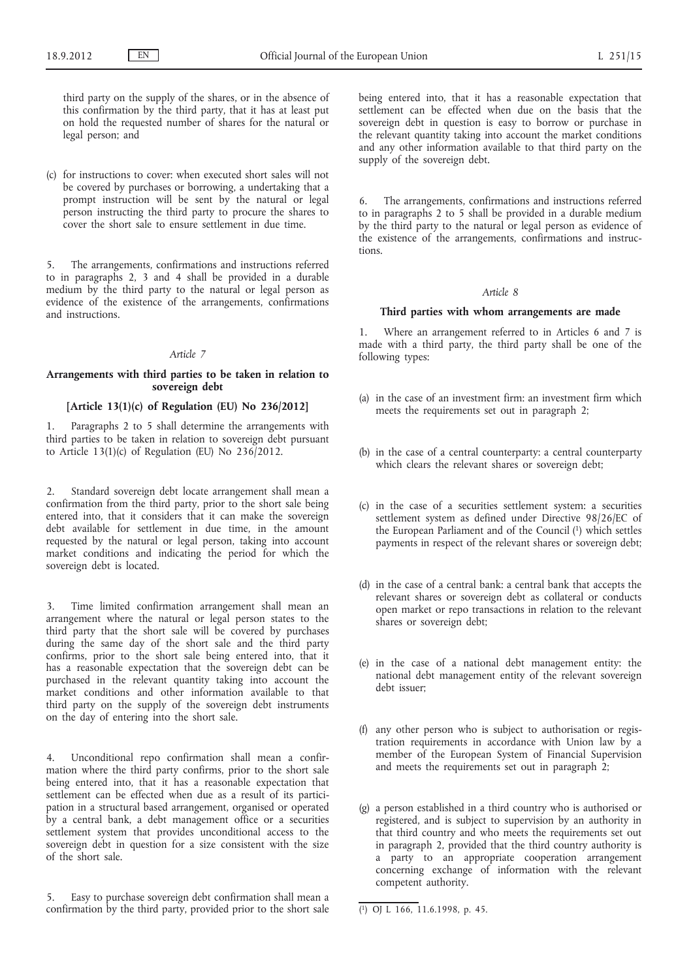third party on the supply of the shares, or in the absence of this confirmation by the third party, that it has at least put on hold the requested number of shares for the natural or legal person; and

(c) for instructions to cover: when executed short sales will not be covered by purchases or borrowing, a undertaking that a prompt instruction will be sent by the natural or legal person instructing the third party to procure the shares to cover the short sale to ensure settlement in due time.

5. The arrangements, confirmations and instructions referred to in paragraphs 2, 3 and 4 shall be provided in a durable medium by the third party to the natural or legal person as evidence of the existence of the arrangements, confirmations and instructions.

### *Article 7*

### **Arrangements with third parties to be taken in relation to sovereign debt**

### **[Article 13(1)(c) of Regulation (EU) No 236/2012]**

1. Paragraphs 2 to 5 shall determine the arrangements with third parties to be taken in relation to sovereign debt pursuant to Article 13(1)(c) of Regulation (EU) No 236/2012.

2. Standard sovereign debt locate arrangement shall mean a confirmation from the third party, prior to the short sale being entered into, that it considers that it can make the sovereign debt available for settlement in due time, in the amount requested by the natural or legal person, taking into account market conditions and indicating the period for which the sovereign debt is located.

3. Time limited confirmation arrangement shall mean an arrangement where the natural or legal person states to the third party that the short sale will be covered by purchases during the same day of the short sale and the third party confirms, prior to the short sale being entered into, that it has a reasonable expectation that the sovereign debt can be purchased in the relevant quantity taking into account the market conditions and other information available to that third party on the supply of the sovereign debt instruments on the day of entering into the short sale.

4. Unconditional repo confirmation shall mean a confirmation where the third party confirms, prior to the short sale being entered into, that it has a reasonable expectation that settlement can be effected when due as a result of its participation in a structural based arrangement, organised or operated by a central bank, a debt management office or a securities settlement system that provides unconditional access to the sovereign debt in question for a size consistent with the size of the short sale.

5. Easy to purchase sovereign debt confirmation shall mean a confirmation by the third party, provided prior to the short sale being entered into, that it has a reasonable expectation that settlement can be effected when due on the basis that the sovereign debt in question is easy to borrow or purchase in the relevant quantity taking into account the market conditions and any other information available to that third party on the supply of the sovereign debt.

6. The arrangements, confirmations and instructions referred to in paragraphs 2 to 5 shall be provided in a durable medium by the third party to the natural or legal person as evidence of the existence of the arrangements, confirmations and instructions.

## *Article 8*

#### **Third parties with whom arrangements are made**

Where an arrangement referred to in Articles 6 and 7 is made with a third party, the third party shall be one of the following types:

- (a) in the case of an investment firm: an investment firm which meets the requirements set out in paragraph 2;
- (b) in the case of a central counterparty: a central counterparty which clears the relevant shares or sovereign debt;
- (c) in the case of a securities settlement system: a securities settlement system as defined under Directive 98/26/EC of the European Parliament and of the Council (1) which settles payments in respect of the relevant shares or sovereign debt;
- (d) in the case of a central bank: a central bank that accepts the relevant shares or sovereign debt as collateral or conducts open market or repo transactions in relation to the relevant shares or sovereign debt;
- (e) in the case of a national debt management entity: the national debt management entity of the relevant sovereign debt issuer;
- (f) any other person who is subject to authorisation or registration requirements in accordance with Union law by a member of the European System of Financial Supervision and meets the requirements set out in paragraph 2;
- (g) a person established in a third country who is authorised or registered, and is subject to supervision by an authority in that third country and who meets the requirements set out in paragraph 2, provided that the third country authority is a party to an appropriate cooperation arrangement concerning exchange of information with the relevant competent authority.

<sup>(</sup> 1) OJ L 166, 11.6.1998, p. 45.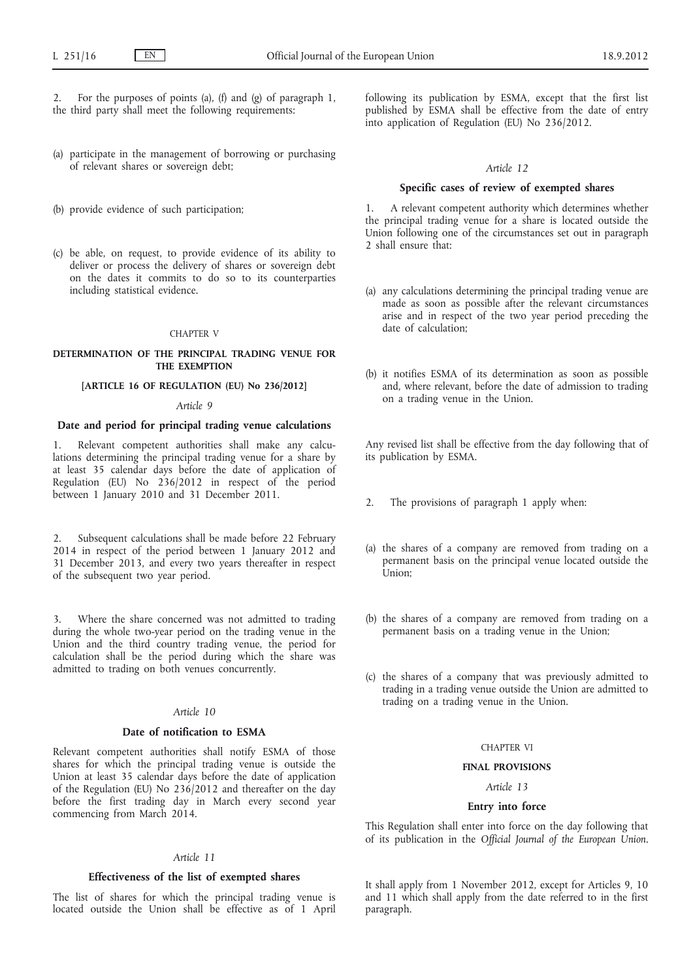For the purposes of points (a), (f) and (g) of paragraph 1, the third party shall meet the following requirements:

- (a) participate in the management of borrowing or purchasing of relevant shares or sovereign debt;
- (b) provide evidence of such participation;
- (c) be able, on request, to provide evidence of its ability to deliver or process the delivery of shares or sovereign debt on the dates it commits to do so to its counterparties including statistical evidence.

#### CHAPTER V

#### **DETERMINATION OF THE PRINCIPAL TRADING VENUE FOR THE EXEMPTION**

### **[ARTICLE 16 OF REGULATION (EU) No 236/2012]**

## *Article 9*

## **Date and period for principal trading venue calculations**

1. Relevant competent authorities shall make any calculations determining the principal trading venue for a share by at least 35 calendar days before the date of application of Regulation (EU) No 236/2012 in respect of the period between 1 January 2010 and 31 December 2011.

2. Subsequent calculations shall be made before 22 February 2014 in respect of the period between 1 January 2012 and 31 December 2013, and every two years thereafter in respect of the subsequent two year period.

3. Where the share concerned was not admitted to trading during the whole two-year period on the trading venue in the Union and the third country trading venue, the period for calculation shall be the period during which the share was admitted to trading on both venues concurrently.

### *Article 10*

### **Date of notification to ESMA**

Relevant competent authorities shall notify ESMA of those shares for which the principal trading venue is outside the Union at least 35 calendar days before the date of application of the Regulation (EU) No 236/2012 and thereafter on the day before the first trading day in March every second year commencing from March 2014.

#### *Article 11*

#### **Effectiveness of the list of exempted shares**

The list of shares for which the principal trading venue is located outside the Union shall be effective as of 1 April following its publication by ESMA, except that the first list published by ESMA shall be effective from the date of entry into application of Regulation (EU) No 236/2012.

### *Article 12*

#### **Specific cases of review of exempted shares**

1. A relevant competent authority which determines whether the principal trading venue for a share is located outside the Union following one of the circumstances set out in paragraph 2 shall ensure that:

- (a) any calculations determining the principal trading venue are made as soon as possible after the relevant circumstances arise and in respect of the two year period preceding the date of calculation;
- (b) it notifies ESMA of its determination as soon as possible and, where relevant, before the date of admission to trading on a trading venue in the Union.

Any revised list shall be effective from the day following that of its publication by ESMA.

- 2. The provisions of paragraph 1 apply when:
- (a) the shares of a company are removed from trading on a permanent basis on the principal venue located outside the Union;
- (b) the shares of a company are removed from trading on a permanent basis on a trading venue in the Union;
- (c) the shares of a company that was previously admitted to trading in a trading venue outside the Union are admitted to trading on a trading venue in the Union.

### CHAPTER VI

#### **FINAL PROVISIONS**

## *Article 13*

### **Entry into force**

This Regulation shall enter into force on the day following that of its publication in the *Official Journal of the European Union*.

It shall apply from 1 November 2012, except for Articles 9, 10 and 11 which shall apply from the date referred to in the first paragraph.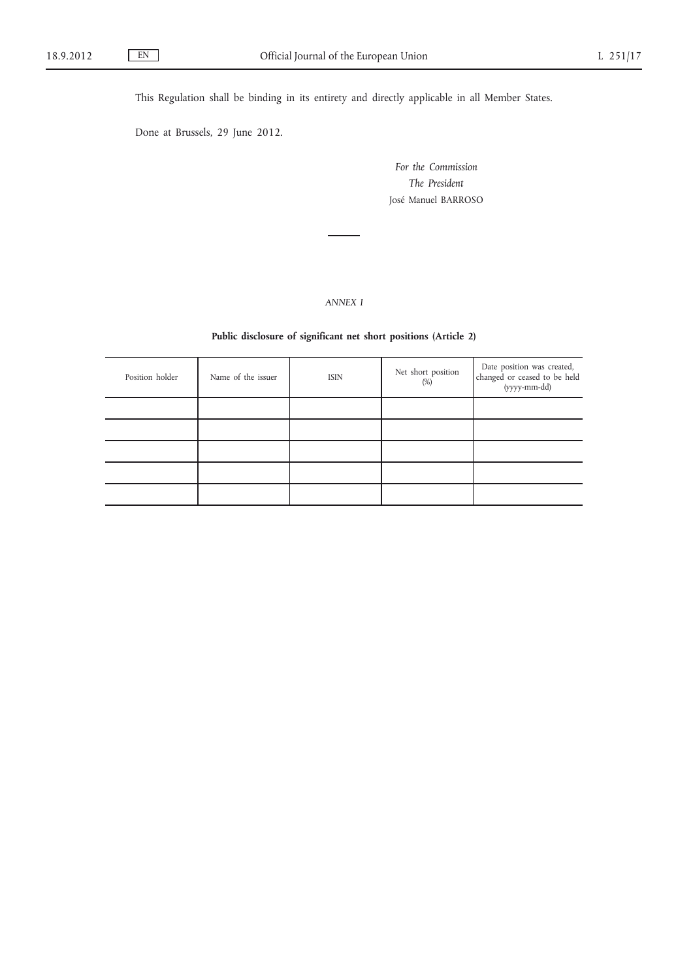This Regulation shall be binding in its entirety and directly applicable in all Member States.

Done at Brussels, 29 June 2012.

*For the Commission The President* José Manuel BARROSO

*ANNEX I*

## **Public disclosure of significant net short positions (Article 2)**

| Position holder | Name of the issuer | <b>ISIN</b> | Net short position<br>$(\%)$ | Date position was created,<br>changed or ceased to be held<br>(yyyy-mm-dd) |
|-----------------|--------------------|-------------|------------------------------|----------------------------------------------------------------------------|
|                 |                    |             |                              |                                                                            |
|                 |                    |             |                              |                                                                            |
|                 |                    |             |                              |                                                                            |
|                 |                    |             |                              |                                                                            |
|                 |                    |             |                              |                                                                            |